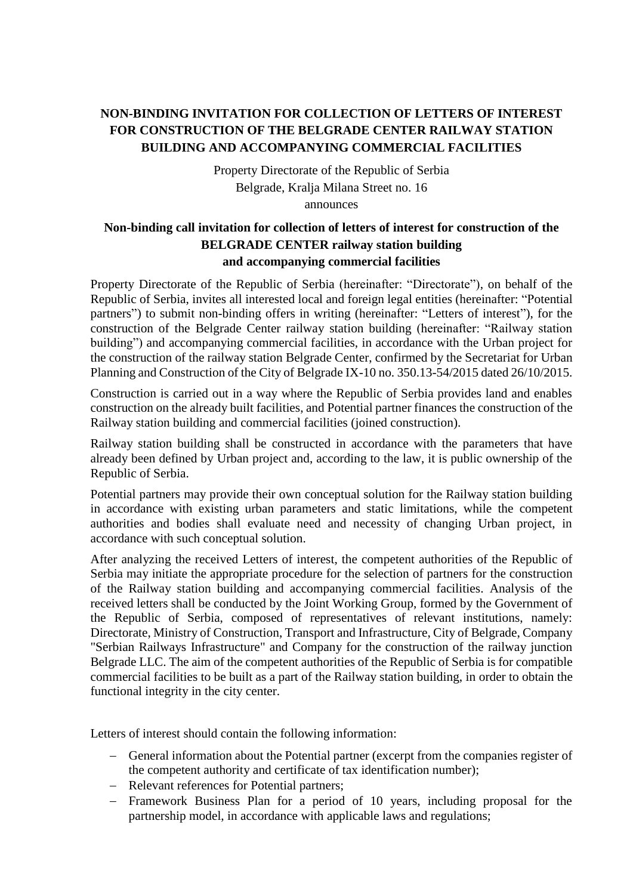## **NON-BINDING INVITATION FOR COLLECTION OF LETTERS OF INTEREST FOR CONSTRUCTION OF THE BELGRADE CENTER RAILWAY STATION BUILDING AND ACCOMPANYING COMMERCIAL FACILITIES**

Property Directorate of the Republic of Serbia Belgrade, Kralja Milana Street no. 16 announces

## **Non-binding call invitation for collection of letters of interest for construction of the BELGRADE CENTER railway station building and accompanying commercial facilities**

Property Directorate of the Republic of Serbia (hereinafter: "Directorate"), on behalf of the Republic of Serbia, invites all interested local and foreign legal entities (hereinafter: "Potential partners") to submit non-binding offers in writing (hereinafter: "Letters of interest"), for the construction of the Belgrade Center railway station building (hereinafter: "Railway station building") and accompanying commercial facilities, in accordance with the Urban project for the construction of the railway station Belgrade Center, confirmed by the Secretariat for Urban Planning and Construction of the City of Belgrade IX-10 no. 350.13-54/2015 dated 26/10/2015.

Construction is carried out in a way where the Republic of Serbia provides land and enables construction on the already built facilities, and Potential partner finances the construction of the Railway station building and commercial facilities (joined construction).

Railway station building shall be constructed in accordance with the parameters that have already been defined by Urban project and, according to the law, it is public ownership of the Republic of Serbia.

Potential partners may provide their own conceptual solution for the Railway station building in accordance with existing urban parameters and static limitations, while the competent authorities and bodies shall evaluate need and necessity of changing Urban project, in accordance with such conceptual solution.

After analyzing the received Letters of interest, the competent authorities of the Republic of Serbia may initiate the appropriate procedure for the selection of partners for the construction of the Railway station building and accompanying commercial facilities. Analysis of the received letters shall be conducted by the Joint Working Group, formed by the Government of the Republic of Serbia, composed of representatives of relevant institutions, namely: Directorate, Ministry of Construction, Transport and Infrastructure, City of Belgrade, Company "Serbian Railways Infrastructure" and Company for the construction of the railway junction Belgrade LLC. The aim of the competent authorities of the Republic of Serbia is for compatible commercial facilities to be built as a part of the Railway station building, in order to obtain the functional integrity in the city center.

Letters of interest should contain the following information:

- General information about the Potential partner (excerpt from the companies register of the competent authority and certificate of tax identification number);
- Relevant references for Potential partners;
- Framework Business Plan for a period of 10 years, including proposal for the partnership model, in accordance with applicable laws and regulations;